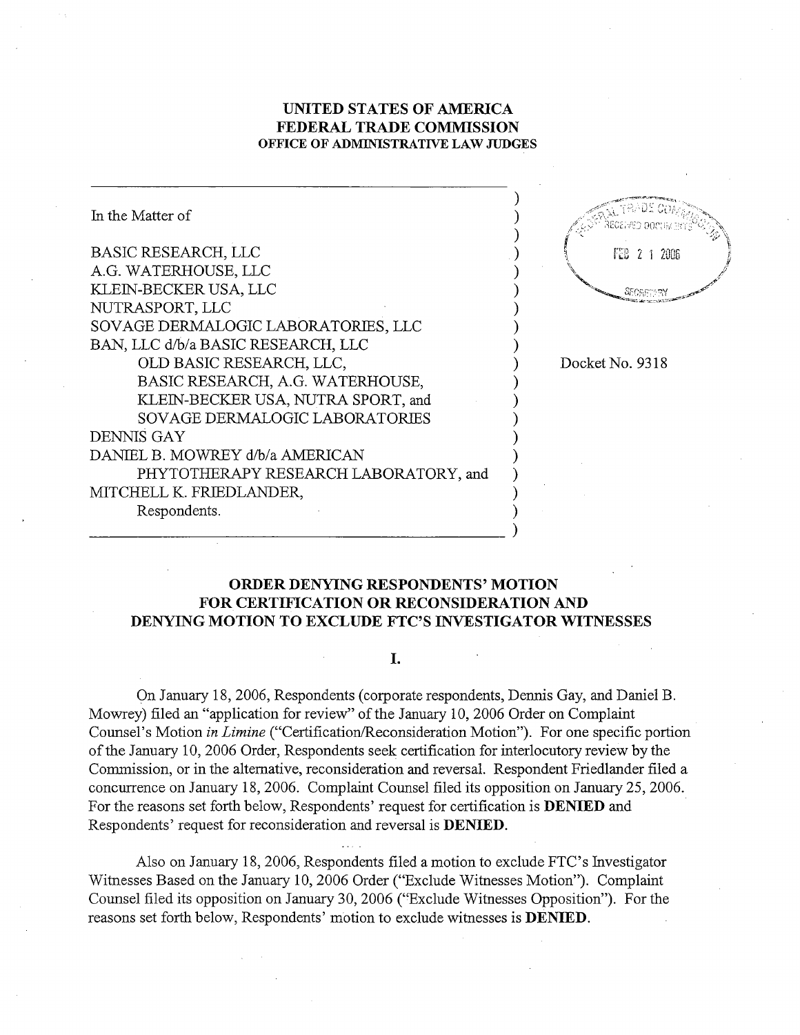# UNITED STATES OF AMRICA FEDERAL TRADE COMMISSION OFFICE OF ADMINISTRATIVE LAW JUDGES

In the Matter of BASIC RESEARCH, LLC FEB 2 1 2006 A.G. WATERHOUSE, LLC KLEIN-BECKER USA, LLC **SECRETORY** NUTRASPORT, LLC SOVAGE DERMALOGIC LABORATORIES, LLC BAN, LLC d/b/a BASIC RESEARCH, LLC OLD BASIC RESEARCH, LLC Docket No. 9318 BASIC RESEARCH, A.G. WATERHOUSE, KLEIN-BECKER USA, NUTRA SPORT, and SOY AGE DERMALOGIC LABORATORIS DENNIS GAY DANIEL B. MOWREY d/b/a AMERICAN PHYTOTHERAPY RESEARCH LABORATORY, and MITCHELL K. FRIEDLANDER, Respondents.

# ORDER DENYNG RESPONDENTS' MOTION FOR CERTIFICATION OR RECONSIDERATION AND DENYING MOTION TO EXCLUDE FTC'S INVESTIGATOR WITNESSES

## L.

On January 18, 2006, Respondents (corporate respondents, Dennis Gay, and Daniel B. Mowrey) filed an "application for review" of the January 10, 2006 Order on Complaint Counsel's Motion in Limine ("Certification/Reconsideration Motion"). For one specific portion of the January 10, 2006 Order, Respondents seek certification for interlocutory review by the Commission, or in the alternative, reconsideration and reversal. Respondent Friedlander filed a concurrence on January 18, 2006. Complaint Counsel filed its opposition on January 25, 2006. For the reasons set forth below, Respondents' request for certification is **DENIED** and Respondents' request for reconsideration and reversal is **DENIED**.

Also on January 18, 2006, Respondents filed a motion to exclude FTC's Investigator Witnesses Based on the January 10, 2006 Order ("Exclude Witnesses Motion"). Complaint Counsel filed its opposition on January 30, 2006 ("Exclude Witnesses Opposition"). For the reasons set forth below, Respondents' motion to exclude witnesses is **DENIED**.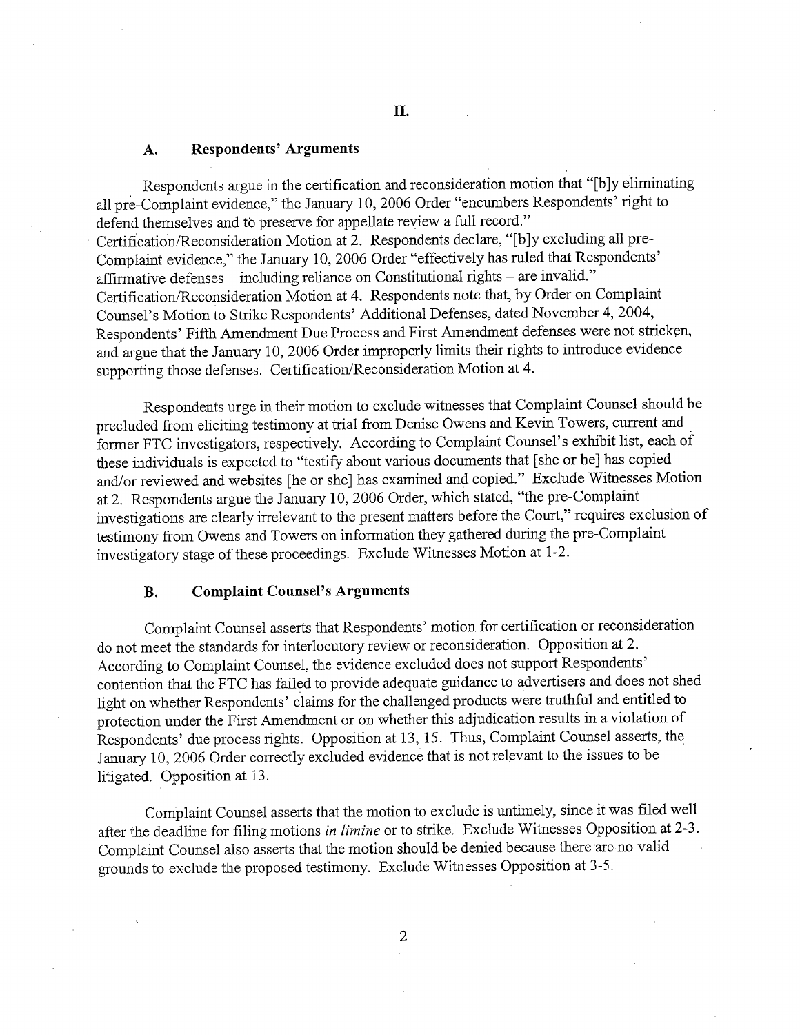### Respondents' Arguments A.

Respondents argue in the certification and reconsideration motion that "[b]y eliminating all pre-Complaint evidence," the January 10, 2006 Order "encumbers Respondents' right to defend themselves and to preserve for appellate review a full record. Certification/Reconsideration Motion at 2. Respondents declare, "[b]y excluding all pre-Complaint evidence," the January 10, 2006 Order "effectively has ruled that Respondents' affirmative defenses  $-$  including reliance on Constitutional rights  $-$  are invalid." Certification/Reconsideration Motion at 4. Respondents note that, by Order on Complaint Counsel's Motion to Strike Respondents' Additional Defenses, dated November 4, 2004, Respondents' Fifth Amendment Due Process and First Amendment defenses were not stricken, and argue that the January 10, 2006 Order improperly limits their rights to introduce evidence supporting those defenses. Certification/Reconsideration Motion at 4.

Respondents urge in their motion to exclude witnesses that Complaint Counsel should be precluded from eliciting testimony at trial from Denise Owens and Kevin Towers, current and former FTC investigators, respectively. According to Complaint Counsel's exhibit list, each of these individuals is expected to "testify about various documents that [she or he] has copied and/or reviewed and websites [he or she] has examined and copied." Exclude Witnesses Motion at 2. Respondents argue the January 10, 2006 Order, which stated, "the pre-Complaint investigations are clearly irrelevant to the present matters before the Court," requires exclusion of testimony from Owens and Towers on information they gathered during the pre-Complaint investigatory stage of these proceedings. Exclude Witnesses Motion at 1-

### **B.** Complaint Counsel's Arguments

Complaint Counsel asserts that Respondents' motion for certification or reconsideration do not meet the standards for interlocutory review or reconsideration. Opposition at 2. According to Complaint Counsel, the evidence excluded does not support Respondents contention that the FTC has failed to provide adequate gudance to advertisers and does not shed light on whether Respondents' claims for the challenged products were truthful and entitled to protection under the First Amendment or on whether this adjudication results in a violation of Respondents' due process rights. Opposition at 13 , 15. Thus, Complaint Counsel asserts, the January 10, 2006 Order correctly excluded evidence that is not relevant to the issues to be litigated. Opposition at 13.

Complaint Counsel asserts that the motion to exclude is untimely, since it was filed well after the deadline for filing motions in limine or to strike. Exclude Witnesses Opposition at 2-3. Complaint Counsel also asserts that the motion should be denied because there are-no valid grounds to exclude the proposed testimony. Exclude Witnesses Opposition at 3-

 $\overline{2}$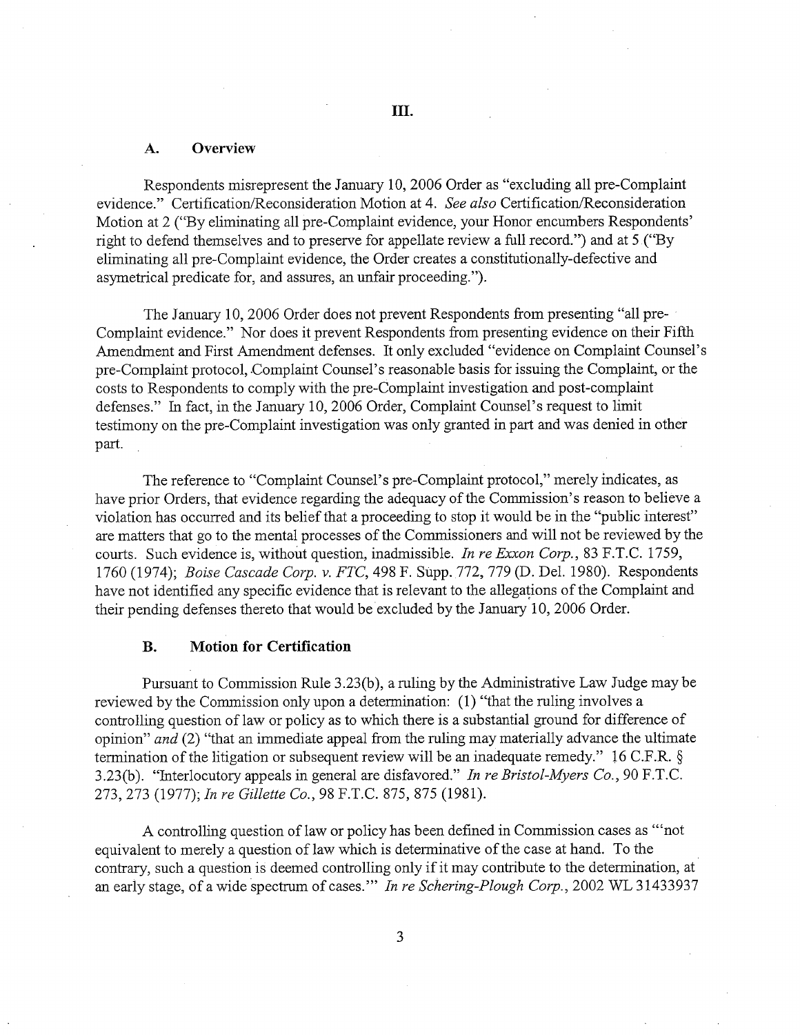#### **Overview** А.

Respondents misrepresent the January 10, 2006 Order as "excluding all pre-Complaint evidence." Certification/Reconsideration Motion at 4. See also Certification/Reconsideration Motion at 2 ("By eliminating all pre-Complaint evidence, your Honor encumbers Respondents right to defend themselves and to preserve for appellate review a full record.") and at 5 ("By eliminating all pre-Complaint evidence, the Order creates a constitutionally-defective and asymetrical predicate for, and assures, an unfair proceeding.").

The January 10, 2006 Order does not prevent Respondents from presenting "all pre-Complaint evidence." Nor does it prevent Respondents from presenting evidence on their Fifth Amendment and First Amendment defenses. It only excluded "evidence on Complaint Counsel' pre-Complaint protocol, Complaint Counsel's reasonable basis for issuing the Complaint, or the costs to Respondents to comply with the pre-Complaint investigation and post-complaint defenses." In fact, in the January 10, 2006 Order, Complaint Counsel's request to limit testimony on the pre-Complaint investigation was only granted in part and was denied in other part.

The reference to "Complaint Counsel's pre-Complaint protocol," merely indicates, as have prior Orders, that evidence regarding the adequacy of the Commission's reason to believe a violation has occurred and its belief that a proceeding to stop it would be in the "public interest" are matters that go to the mental processes of the Commissioners and will not be reviewed by the courts. Such evidence is, without question, inadmissible. In re Exxon Corp., 83 F.T.C. 1759, 1760 (1974); *Boise Cascade Corp. v. FTC*, 498 F. Supp. 772, 779 (D. Del. 1980). Respondents have not identified any specific evidence that is relevant to the allegations of the Complaint and their pending defenses thereto that would be excluded by the January 10, 2006 Order.

### **B.** Motion for Certification

Pursuant to Commission Rule 3 .23(b), a ruling by the Administrative Law Judge may be reviewed by the Commission only upon a determination: (1) "that the ruling involves a controlling question of law or policy as to which there is a substantial ground for difference of opinion" and (2) "that an immediate appeal from the ruling may materially advance the ultimate termination of the litigation or subsequent review will be an inadequate remedy." 16 C.F.R. § 3.23(b). "Interlocutory appeals in general are disfavored." In re Bristol-Myers Co., 90 F.T.C. 273, 273 (1977); In re Gillette Co., 98 F.T.C. 875, 875 (1981).

A controlling question of law or policy has been defined in Commission cases as ''' not equivalent to merely a question of law which is determinative of the case at hand. To the contrary, such a question is deemed controlling only if it may contribute to the determination, at an early stage, of a wide spectrum of cases."" In re Schering-Plough Corp., 2002 WL 31433937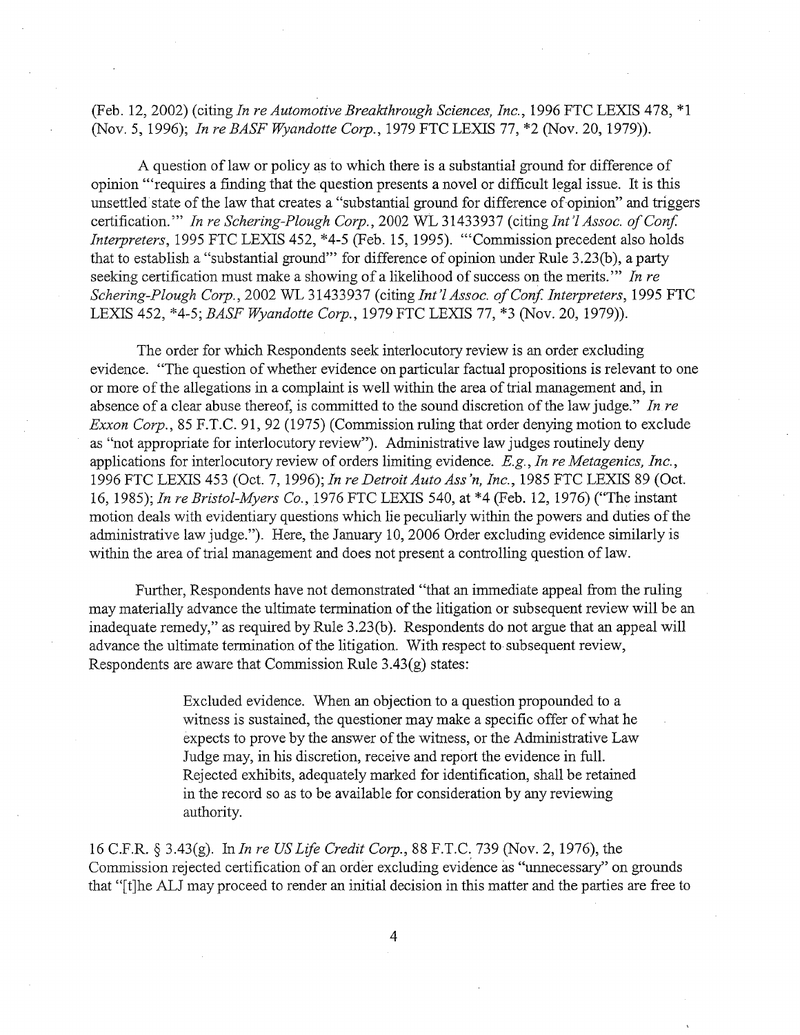(Feb. 12, 2002) (citing In re Automotive Breakthrough Sciences, Inc., 1996 FTC LEXIS 478, \*1 (Nov. 5, 1996); In re BASF Wyandotte Corp., 1979 FTC LEXIS 77, \*2 (Nov. 20, 1979)).

A question of law or policy as to which there is a substantial ground for difference of opinion ''' requires a finding that the question presents a novel or difficult legal issue. It is this unsettled state of the law that creates a "substantial ground for difference of opinion" and trggers certification."" In re Schering-Plough Corp., 2002 WL 31433937 (citing Int'l Assoc. of Conf. Interpreters, 1995 FTC LEXIS 452, \*4-5 (Feb. 15, 1995). "'Commission precedent also holds that to establish a "substantial ground" for difference of opinion under Rule 3.23(b), a party seeking certification must make a showing of a likelihood of success on the merits."" In re Schering-Plough Corp., 2002 WL 31433937 (citing Int'l Assoc. of Conf. Interpreters, 1995 FTC LEXIS 452, \*4-5; BASF Wyandotte Corp., 1979 FTC LEXIS 77, \*3 (Nov. 20, 1979)).

The order for which Respondents seek interlocutory review is an order excluding evidence. "The question of whether evidence on particular factual propositions is relevant to one or more of the allegations in a complaint is well within the area of trial management and, in absence of a clear abuse thereof, is committed to the sound discretion of the law judge." In re Exxon Corp., 85 F.T.C. 91, 92 (1975) (Commission ruling that order denying motion to exclude as "not appropriate for interlocutory review"). Administrative law judges routinely deny applications for interlocutory review of orders limiting evidence.  $E.g., In re Metagenics, Inc.,$ 1996 FTC LEXIS 453 (Oct. 7, 1996); In re Detroit Auto Ass'n, Inc., 1985 FTC LEXIS 89 (Oct. , 1985); In re Bristol-Myers Co. 1976 FTC LEXIS 540, at \*4 (Feb. 12, 1976) ("The instant motion deals with evidentiary questions which lie peculiarly within the powers and duties of the administrative law judge."). Here, the January 10, 2006 Order excluding evidence similarly is within the area of trial management and does not present a controlling question of law.

Further, Respondents have not demonstrated "that an immediate appeal from the ruling may materially advance the ultimate termination of the litigation or subsequent review will be an inadequate remedy," as required by Rule 3.23(b). Respondents do not argue that an appeal will advance the ultimate termination of the litigation. With respect to subsequent review Respondents are aware that Commission Rule 3.43(g) states:

> Excluded evidence. When an objection to a question propounded to a witness is sustained, the questioner may make a specific offer of what he expects to prove by the answer of the witness, or the Administrative Law Judge may, in his discretion, receive and report the evidence in full. Rejected exhibits, adequately marked for identification, shall be retained in the record so as to be available for consideration by any reviewing authority.

16 C.F.R. § 3.43(g). In *In re US Life Credit Corp.*, 88 F.T.C. 739 (Nov. 2, 1976), the Commission rejected certification of an order excluding evidence as "unnecessary" on grounds that "[t]he ALJ may proceed to render an initial decision in this matter and the parties are free to

 $\overline{4}$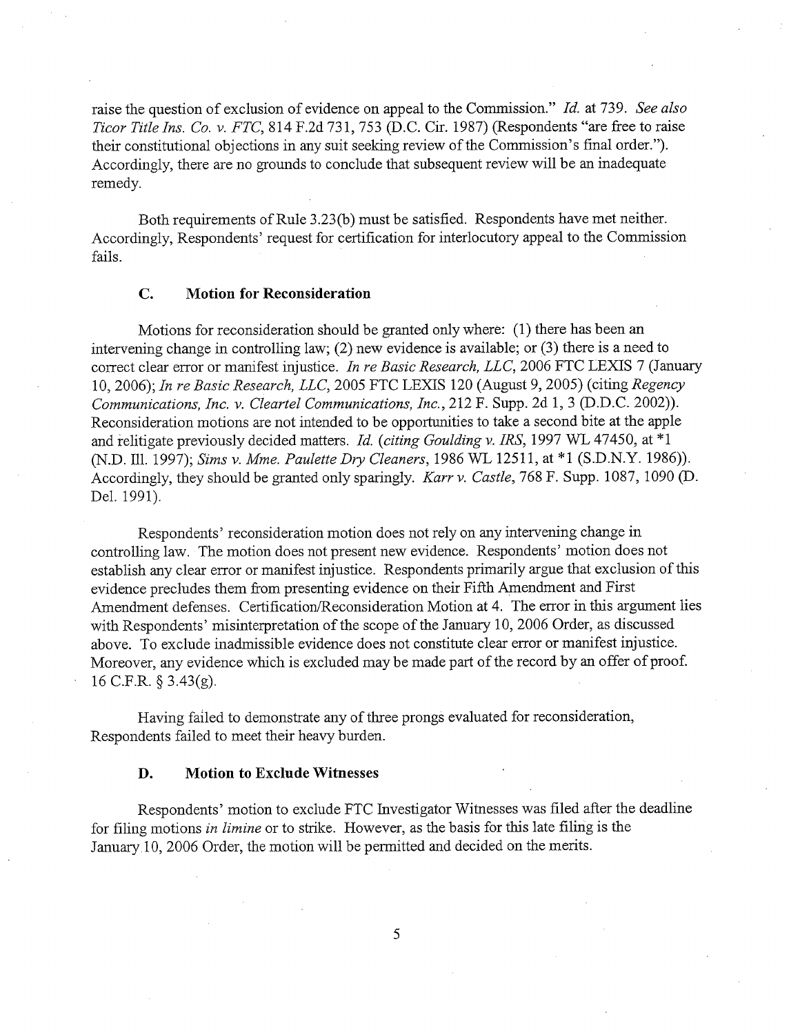raise the question of exclusion of evidence on appeal to the Commission." Id. at 739. See also Ticor Title Ins. Co. v. FTC, 814 F.2d 731, 753 (D.C. Cir. 1987) (Respondents "are free to raise their constitutional objections in any suit seeking review of the Commission's final order."). Accordingly, there are no grounds to conclude that subsequent review will be an inadequate remedy.

Both requirements of Rule 3.23(b) must be satisfied. Respondents have met neither. Accordingly, Respondents' request for certification for interlocutory appeal to the Commission fails.

#### $\mathbf{C}$ . Motion for Reconsideration

Motions for reconsideration should be granted only where: (1) there has been an intervening change in controlling law; (2) new evidence is available; or (3) there is a need to correct clear error or manifest injustice. In re Basic Research, LLC, 2006 FTC LEXIS 7 (January 10, 2006); In re Basic Research, LLC, 2005 FTC LEXIS 120 (August 9, 2005) (citing Regency Communications, Inc. v. Cleartel Communications, Inc., 212 F. Supp. 2d 1, 3 (D.D.C. 2002)). Reconsideration motions are not intended to be opportunities to take a second bite at the apple and relitigate previously decided matters. Id. (citing Goulding v. IRS, 1997 WL 47450, at  $*1$ (N.D. Ill. 1997); Sims v. Mme. Paulette Dry Cleaners, 1986 WL 12511, at \*1 (S.D.N.Y. 1986)). Accordingly, they should be granted only sparingly. Karr v. Castle, 768 F. Supp. 1087, 1090 (D. Del. 1991).

Respondents' reconsideration motion does not rely on any intervening change in controlling law. The motion does not present new evidence. Respondents' motion does not establish any clear error or manifest injustice. Respondents primarily argue that exclusion of this evidence precludes them from presenting evidence on their Fifth Amendment and First Amendment defenses. Certification/Reconsideration Motion at 4. The error in this argument lies with Respondents' misinterpretation of the scope of the January 10, 2006 Order, as discussed above. To exclude inadmissible evidence does not constitute clear error or manfest injustice. Moreover, any evidence which is excluded may be made part of the record by an offer of proof. 16 C.F.R.  $\S$  3.43(g).

Having failed to demonstrate any of three prongs evaluated for reconsideration Respondents failed to meet their heavy burden.

#### D. Motion to Exclude Witnesses

Respondents' motion to exclude FTC Investigator Witnesses was filed after the deadline for filing motions in limine or to strike. However, as the basis for this late filing is the January 10, 2006 Order, the motion will be permitted and decided on the merits.